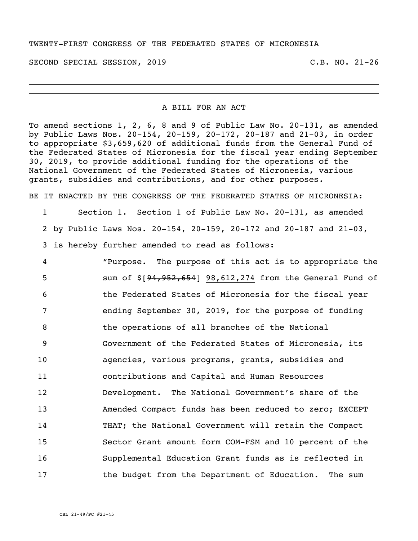## TWENTY-FIRST CONGRESS OF THE FEDERATED STATES OF MICRONESIA

SECOND SPECIAL SESSION, 2019 C.B. NO. 21-26

## A BILL FOR AN ACT

To amend sections 1, 2, 6, 8 and 9 of Public Law No. 20-131, as amended by Public Laws Nos. 20-154, 20-159, 20-172, 20-187 and 21-03, in order to appropriate \$3,659,620 of additional funds from the General Fund of the Federated States of Micronesia for the fiscal year ending September 30, 2019, to provide additional funding for the operations of the National Government of the Federated States of Micronesia, various grants, subsidies and contributions, and for other purposes.

BE IT ENACTED BY THE CONGRESS OF THE FEDERATED STATES OF MICRONESIA:

1 Section 1. Section 1 of Public Law No. 20-131, as amended 2 by Public Laws Nos. 20-154, 20-159, 20-172 and 20-187 and 21-03, 3 is hereby further amended to read as follows:

 "Purpose. The purpose of this act is to appropriate the sum of \$[94,952,654] 98,612,274 from the General Fund of the Federated States of Micronesia for the fiscal year ending September 30, 2019, for the purpose of funding the operations of all branches of the National Government of the Federated States of Micronesia, its agencies, various programs, grants, subsidies and contributions and Capital and Human Resources Development. The National Government's share of the Amended Compact funds has been reduced to zero; EXCEPT THAT; the National Government will retain the Compact Sector Grant amount form COM-FSM and 10 percent of the Supplemental Education Grant funds as is reflected in 17 the budget from the Department of Education. The sum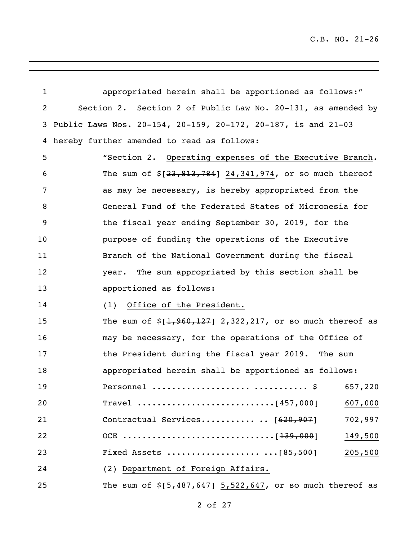| $\mathbf{1}$ | appropriated herein shall be apportioned as follows:"         |
|--------------|---------------------------------------------------------------|
| 2            | Section 2. Section 2 of Public Law No. 20-131, as amended by  |
| 3            | Public Laws Nos. 20-154, 20-159, 20-172, 20-187, is and 21-03 |
| 4            | hereby further amended to read as follows:                    |
| 5            | "Section 2. Operating expenses of the Executive Branch.       |
| 6            | The sum of $\S[23,813,784]$ 24,341,974, or so much thereof    |
| 7            | as may be necessary, is hereby appropriated from the          |
| 8            | General Fund of the Federated States of Micronesia for        |
| 9            | the fiscal year ending September 30, 2019, for the            |
| 10           | purpose of funding the operations of the Executive            |
| 11           | Branch of the National Government during the fiscal           |
| 12           | The sum appropriated by this section shall be<br>year.        |
| 13           | apportioned as follows:                                       |
| 14           | Office of the President.<br>(1)                               |
| 15           | The sum of $\S[1, 960, 127]$ 2,322,217, or so much thereof as |
| 16           | may be necessary, for the operations of the Office of         |
| 17           | the President during the fiscal year 2019. The sum            |
| 18           | appropriated herein shall be apportioned as follows:          |
| 19           | Personnel   \$ 657,220                                        |
| 20           | 607,000                                                       |
| 21           | Contractual Services . [620,907]<br>702,997                   |
| 22           | 149,500                                                       |
| 23           | 205,500                                                       |
| 24           | (2) Department of Foreign Affairs.                            |
| 25           | The sum of $$[5,487,647]$ 5,522,647, or so much thereof as    |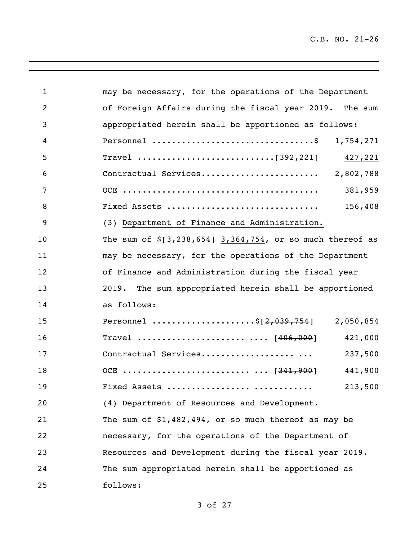<u> 1980 - Johann Barnett, fransk politik (d. 1980)</u>

| $\mathbf{1}$   | may be necessary, for the operations of the Department     |           |
|----------------|------------------------------------------------------------|-----------|
| $\overline{2}$ | of Foreign Affairs during the fiscal year 2019. The sum    |           |
| 3              | appropriated herein shall be apportioned as follows:       |           |
| 4              |                                                            | 1,754,271 |
| 5              |                                                            | 427,221   |
| 6              | Contractual Services 2,802,788                             |           |
| 7              |                                                            | 381,959   |
| 8              | Fixed Assets                                               | 156,408   |
| 9              | (3) Department of Finance and Administration.              |           |
| 10             | The sum of $$[3,238,654]$ 3,364,754, or so much thereof as |           |
| 11             | may be necessary, for the operations of the Department     |           |
| 12             | of Finance and Administration during the fiscal year       |           |
| 13             | 2019. The sum appropriated herein shall be apportioned     |           |
| 14             | as follows:                                                |           |
| 15             | Personnel \$[2,039,754]                                    | 2,050,854 |
| 16             | Travel   [406,000]                                         | 421,000   |
| 17             | Contractual Services                                       | 237,500   |
| 18             |                                                            | 441,900   |
| 19             | Fixed Assets                                               | 213,500   |
| 20             | (4) Department of Resources and Development.               |           |
| 21             | The sum of $$1,482,494$ , or so much thereof as may be     |           |
| 22             | necessary, for the operations of the Department of         |           |
| 23             | Resources and Development during the fiscal year 2019.     |           |
| 24             | The sum appropriated herein shall be apportioned as        |           |
| 25             | follows:                                                   |           |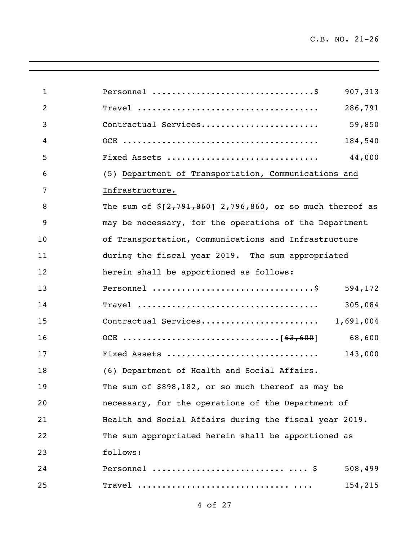÷

<u> 1980 - Johann Barnett, fransk politik (d. 1980)</u>

| $\mathbf{1}$   |                                                               | 907,313 |
|----------------|---------------------------------------------------------------|---------|
| $\overline{2}$ |                                                               | 286,791 |
| 3              | Contractual Services                                          | 59,850  |
| 4              |                                                               | 184,540 |
| 5              | Fixed Assets                                                  | 44,000  |
| 6              | (5) Department of Transportation, Communications and          |         |
| 7              | Infrastructure.                                               |         |
| 8              | The sum of $\S[2, 791, 860]$ 2,796,860, or so much thereof as |         |
| 9              | may be necessary, for the operations of the Department        |         |
| 10             | of Transportation, Communications and Infrastructure          |         |
| 11             | during the fiscal year 2019. The sum appropriated             |         |
| 12             | herein shall be apportioned as follows:                       |         |
| 13             | Personnel \$ 594,172                                          |         |
| 14             |                                                               | 305,084 |
| 15             |                                                               |         |
| 16             |                                                               | 68,600  |
| 17             | Fixed Assets                                                  | 143,000 |
| 18             | (6) Department of Health and Social Affairs.                  |         |
| 19             | The sum of \$898,182, or so much thereof as may be            |         |
| 20             | necessary, for the operations of the Department of            |         |
| 21             | Health and Social Affairs during the fiscal year 2019.        |         |
| 22             | The sum appropriated herein shall be apportioned as           |         |
| 23             | follows:                                                      |         |
| 24             |                                                               | 508,499 |
| 25             |                                                               | 154,215 |

<u> 1989 - Andrea Santa Alemania, amerikana amerikana amerikana amerikana amerikana amerikana amerikana amerikan</u>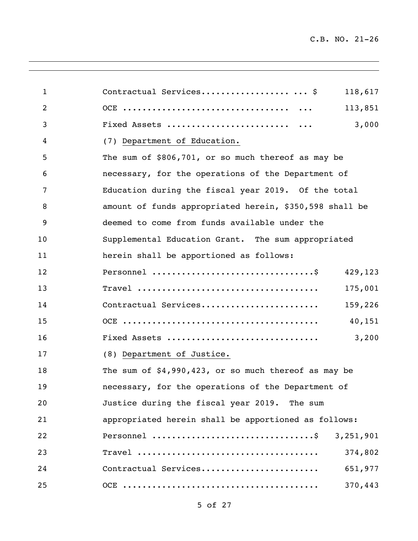<u> 1980 - Johann Barnett, fransk politik (d. 1980)</u>

| $\mathbf{1}$ | Contractual Services \$<br>118,617                      |
|--------------|---------------------------------------------------------|
| 2            | 113,851                                                 |
| 3            | 3,000                                                   |
| 4            | (7) Department of Education.                            |
| 5            | The sum of \$806,701, or so much thereof as may be      |
| 6            | necessary, for the operations of the Department of      |
| 7            | Education during the fiscal year 2019. Of the total     |
| 8            | amount of funds appropriated herein, \$350,598 shall be |
| 9            | deemed to come from funds available under the           |
| 10           | Supplemental Education Grant. The sum appropriated      |
| 11           | herein shall be apportioned as follows:                 |
| 12           | 429,123                                                 |
| 13           | 175,001                                                 |
| 14           | Contractual Services<br>159,226                         |
| 15           | 40,151                                                  |
| 16           | Fixed Assets<br>3,200                                   |
| 17           | (8) Department of Justice.                              |
| 18           | The sum of $$4,990,423$ , or so much thereof as may be  |
| 19           | necessary, for the operations of the Department of      |
| 20           | Justice during the fiscal year 2019. The sum            |
| 21           | appropriated herein shall be apportioned as follows:    |
| 22           | Personnel \$ 3,251,901                                  |
| 23           | 374,802                                                 |
| 24           | Contractual Services<br>651,977                         |
| 25           | 370,443                                                 |

<u> 1989 - Andrea Santa Andrea Andrea Andrea Andrea Andrea Andrea Andrea Andrea Andrea Andrea Andrea Andrea Andr</u>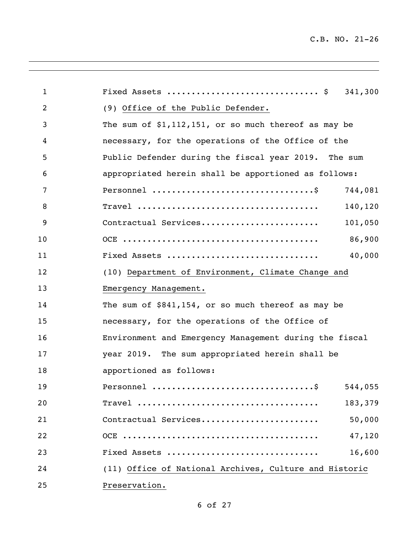| $\mathbf{1}$   | Fixed Assets $\S$ 341,300                                                      |
|----------------|--------------------------------------------------------------------------------|
| $\overline{2}$ | (9) Office of the Public Defender.                                             |
| 3              | The sum of $$1,112,151$ , or so much thereof as may be                         |
| 4              | necessary, for the operations of the Office of the                             |
| 5              | Public Defender during the fiscal year 2019. The sum                           |
| 6              | appropriated herein shall be apportioned as follows:                           |
| 7              | Personnel $\dots\dots\dots\dots\dots\dots\dots\dots\dots\dots\dots$<br>744,081 |
| 8              | 140,120                                                                        |
| 9              | Contractual Services<br>101,050                                                |
| 10             | 86,900                                                                         |
| 11             | 40,000<br>Fixed Assets                                                         |
| 12             | (10) Department of Environment, Climate Change and                             |
| 13             | Emergency Management.                                                          |
| 14             | The sum of $$841,154$ , or so much thereof as may be                           |
| 15             | necessary, for the operations of the Office of                                 |
| 16             | Environment and Emergency Management during the fiscal                         |
| 17             | year 2019. The sum appropriated herein shall be                                |
| 18             | apportioned as follows:                                                        |
| 19             | 544,055                                                                        |
| 20             | 183,379                                                                        |
| 21             | Contractual Services<br>50,000                                                 |
| 22             | 47,120                                                                         |
| 23             | 16,600<br>Fixed Assets                                                         |
| 24             | (11) Office of National Archives, Culture and Historic                         |
| 25             | Preservation.                                                                  |

<u> 1989 - Andrea Santa Alemania, amerikana amerikana amerikana amerikana amerikana amerikana amerikana amerikan</u>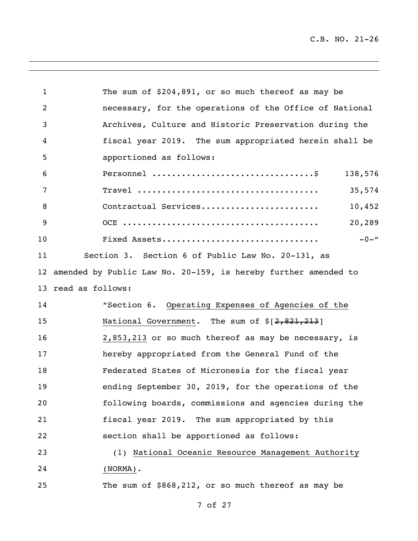<u> 1980 - Johann Barnett, fransk politik (d. 1980)</u>

| $\mathbf 1$     | The sum of \$204,891, or so much thereof as may be             |
|-----------------|----------------------------------------------------------------|
| 2               | necessary, for the operations of the Office of National        |
| 3               | Archives, Culture and Historic Preservation during the         |
| 4               | fiscal year 2019. The sum appropriated herein shall be         |
| 5               | apportioned as follows:                                        |
| 6               | 138,576                                                        |
| 7               | 35,574                                                         |
| 8               | Contractual Services<br>10,452                                 |
| 9               | 20,289                                                         |
| 10              | $-0-$ "<br>Fixed Assets                                        |
| 11              | Section 3. Section 6 of Public Law No. 20-131, as              |
| 12 <sup>°</sup> | amended by Public Law No. 20-159, is hereby further amended to |
|                 | 13 read as follows:                                            |
| 14              | "Section 6. Operating Expenses of Agencies of the              |
| 15              | National Government. The sum of \$[2,821,213]                  |
| 16              | 2,853,213 or so much thereof as may be necessary, is           |
| 17              | hereby appropriated from the General Fund of the               |
| 18              | Federated States of Micronesia for the fiscal year             |
| 19              | ending September 30, 2019, for the operations of the           |
| 20              | following boards, commissions and agencies during the          |
| 21              | fiscal year 2019. The sum appropriated by this                 |
| 22              | section shall be apportioned as follows:                       |
| 23              | (1) National Oceanic Resource Management Authority             |
| 24              | $(NORMA)$ .                                                    |
| 25              | The sum of \$868,212, or so much thereof as may be             |

<u> 1989 - Andrea Santa Alemania, amerikana amerikana amerikana amerikana amerikana amerikana amerikana amerikan</u>

of 27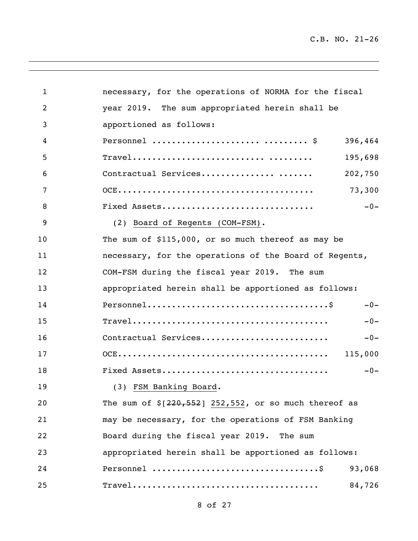| $\mathbf{1}$   | necessary, for the operations of NORMA for the fiscal                               |         |
|----------------|-------------------------------------------------------------------------------------|---------|
| $\overline{2}$ | year 2019. The sum appropriated herein shall be                                     |         |
| 3              | apportioned as follows:                                                             |         |
| 4              |                                                                                     | 396,464 |
| 5              |                                                                                     | 195,698 |
| 6              | Contractual Services                                                                | 202,750 |
| 7              |                                                                                     | 73,300  |
| 8              | Fixed Assets                                                                        | $-0-$   |
| 9              | (2) Board of Regents (COM-FSM).                                                     |         |
| 10             | The sum of \$115,000, or so much thereof as may be                                  |         |
| 11             | necessary, for the operations of the Board of Regents,                              |         |
| 12             | COM-FSM during the fiscal year 2019. The sum                                        |         |
| 13             | appropriated herein shall be apportioned as follows:                                |         |
| 14             | $Personnel \ldots \ldots \ldots \ldots \ldots \ldots \ldots \ldots \ldots \ldots \$ | $-0-$   |
| 15             |                                                                                     | $-0-$   |
| 16             | Contractual Services                                                                | $-0-$   |
| 17             |                                                                                     |         |
| 18             |                                                                                     | $-0-$   |
| 19             | (3) FSM Banking Board.                                                              |         |
| 20             | The sum of $\S[220, 552]$ 252,552, or so much thereof as                            |         |
| 21             | may be necessary, for the operations of FSM Banking                                 |         |
| 22             | Board during the fiscal year 2019. The sum                                          |         |
| 23             | appropriated herein shall be apportioned as follows:                                |         |
| 24             |                                                                                     | 93,068  |
| 25             |                                                                                     | 84,726  |

<u> 1989 - Andrea Santa Alemania, amerikana amerikana amerikana amerikana amerikana amerikana amerikana amerikan</u>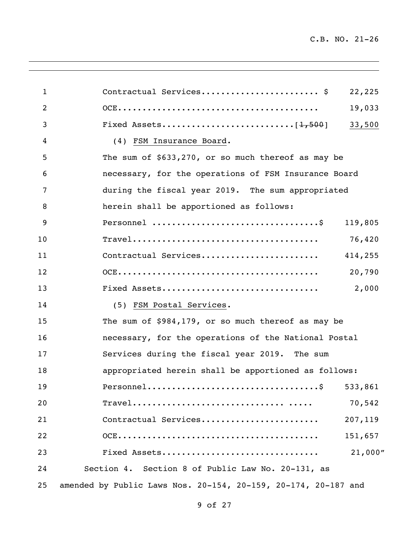| $\mathbf{1}$   | Contractual Services \$<br>22,225                              |
|----------------|----------------------------------------------------------------|
| $\overline{2}$ | 19,033                                                         |
| 3              | 33,500                                                         |
| 4              | (4) FSM Insurance Board.                                       |
| 5              | The sum of \$633,270, or so much thereof as may be             |
| 6              | necessary, for the operations of FSM Insurance Board           |
| 7              | during the fiscal year 2019. The sum appropriated              |
| 8              | herein shall be apportioned as follows:                        |
| 9              | 119,805                                                        |
| 10             | 76,420                                                         |
| 11             | Contractual Services<br>414,255                                |
| 12             | 20,790                                                         |
| 13             | Fixed Assets<br>2,000                                          |
| 14             | (5) FSM Postal Services.                                       |
| 15             | The sum of \$984,179, or so much thereof as may be             |
| 16             | necessary, for the operations of the National Postal           |
| 17             | Services during the fiscal year 2019. The sum                  |
| 18             | appropriated herein shall be apportioned as follows:           |
| 19             |                                                                |
| 20             | 70,542                                                         |
| 21             | Contractual Services<br>207,119                                |
| 22             | 151,657                                                        |
| 23             | 21,000''<br>Fixed Assets                                       |
| 24             | Section 4. Section 8 of Public Law No. 20-131, as              |
| 25             | amended by Public Laws Nos. 20-154, 20-159, 20-174, 20-187 and |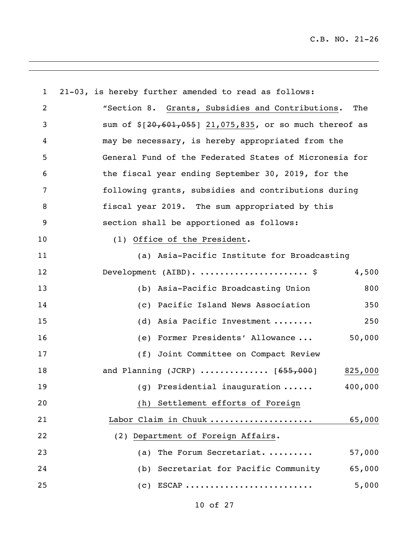| $\mathbf{1}$   | 21-03, is hereby further amended to read as follows:                   |  |  |
|----------------|------------------------------------------------------------------------|--|--|
| $\overline{2}$ | "Section 8. Grants, Subsidies and Contributions.<br>The                |  |  |
| 3              | sum of $\S[20, 601, 055]$ 21,075,835, or so much thereof as            |  |  |
| 4              | may be necessary, is hereby appropriated from the                      |  |  |
| 5              | General Fund of the Federated States of Micronesia for                 |  |  |
| 6              | the fiscal year ending September 30, 2019, for the                     |  |  |
| 7              | following grants, subsidies and contributions during                   |  |  |
| 8              | fiscal year 2019. The sum appropriated by this                         |  |  |
| 9              | section shall be apportioned as follows:                               |  |  |
| 10             | (1) Office of the President.                                           |  |  |
| 11             | (a) Asia-Pacific Institute for Broadcasting                            |  |  |
| 12             | 4,500<br>Development $(AIBD)$ .  \$                                    |  |  |
| 13             | 800<br>(b) Asia-Pacific Broadcasting Union                             |  |  |
| 14             | (c) Pacific Island News Association<br>350                             |  |  |
| 15             | (d) Asia Pacific Investment<br>250                                     |  |  |
| 16             | 50,000<br>(e) Former Presidents' Allowance                             |  |  |
| 17             | (f) Joint Committee on Compact Review                                  |  |  |
| 18             | and Planning (JCRP) $\ldots \ldots \ldots \ldots$ [655,000]<br>825,000 |  |  |
| 19             | $(g)$ Presidential inauguration $\ldots$ .<br>400,000                  |  |  |
| 20             | (h) Settlement efforts of Foreign                                      |  |  |
| 21             | Labor Claim in Chuuk<br>65,000                                         |  |  |
| 22             | (2) Department of Foreign Affairs.                                     |  |  |
| 23             | 57,000<br>The Forum Secretariat.<br>(a)                                |  |  |
| 24             | 65,000<br>(b) Secretariat for Pacific Community                        |  |  |
| 25             | $(c)$ ESCAP<br>5,000                                                   |  |  |

<u> 1989 - Andrea Santa Andrea Andrea Andrea Andrea Andrea Andrea Andrea Andrea Andrea Andrea Andrea Andrea Andr</u>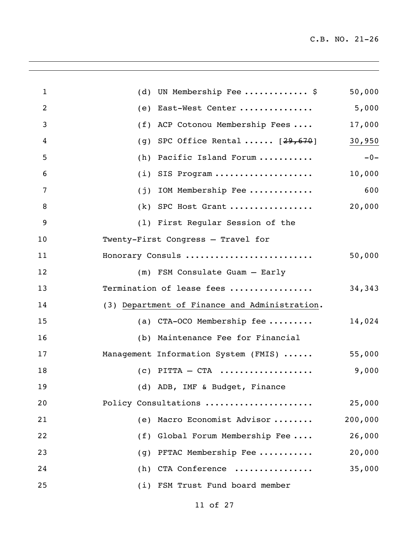$\overline{\phantom{0}}$ 

| $\mathbf{1}$   | (d) UN Membership Fee $\frac{1}{2}$           | 50,000  |  |
|----------------|-----------------------------------------------|---------|--|
| $\overline{2}$ | (e) East-West Center                          | 5,000   |  |
| 3              | (f) ACP Cotonou Membership Fees               | 17,000  |  |
| 4              | SPC Office Rental $[29,670]$<br>(g)           | 30,950  |  |
| 5              | Pacific Island Forum<br>(h)                   | $-0-$   |  |
| 6              | $(i)$ SIS Program                             | 10,000  |  |
| 7              | IOM Membership Fee<br>(j)                     | 600     |  |
| 8              | $(k)$ SPC Host Grant                          | 20,000  |  |
| 9              | (1) First Regular Session of the              |         |  |
| 10             | Twenty-First Congress - Travel for            |         |  |
| 11             | Honorary Consuls                              | 50,000  |  |
| 12             | (m) FSM Consulate Guam - Early                |         |  |
| 13             | Termination of lease fees                     | 34,343  |  |
| 14             | (3) Department of Finance and Administration. |         |  |
| 15             | (a) $CTA-OCO$ Membership fee                  | 14,024  |  |
| 16             | (b) Maintenance Fee for Financial             |         |  |
| 17             | Management Information System (FMIS)          | 55,000  |  |
| 18             | $(c)$ PITTA – CTA                             | 9,000   |  |
| 19             | (d) ADB, IMF & Budget, Finance                |         |  |
| 20             | Policy Consultations                          | 25,000  |  |
| 21             | Macro Economist Advisor<br>(e)                | 200,000 |  |
| 22             | Global Forum Membership Fee<br>(f)            | 26,000  |  |
| 23             | PFTAC Membership Fee<br>(g)                   | 20,000  |  |
| 24             | CTA Conference<br>(h)                         | 35,000  |  |
| 25             | (i) FSM Trust Fund board member               |         |  |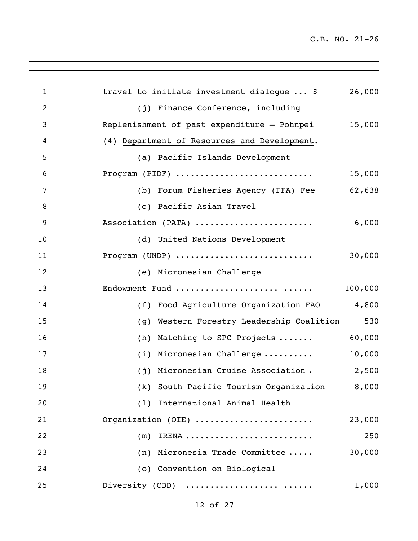| $\mathbf{1}$   | travel to initiate investment dialogue  \$<br>26,000                               |
|----------------|------------------------------------------------------------------------------------|
| $\overline{2}$ | (j) Finance Conference, including                                                  |
| 3              | 15,000<br>Replenishment of past expenditure - Pohnpei                              |
| 4              | (4) Department of Resources and Development.                                       |
| 5              | (a) Pacific Islands Development                                                    |
| 6              | Program (PIDF)<br>15,000                                                           |
| 7              | (b) Forum Fisheries Agency (FFA) Fee<br>62,638                                     |
| 8              | (c) Pacific Asian Travel                                                           |
| 9              | Association (PATA)<br>6,000                                                        |
| 10             | (d) United Nations Development                                                     |
| 11             | Program (UNDP) $\ldots \ldots \ldots \ldots \ldots \ldots \ldots \ldots$<br>30,000 |
| 12             | (e) Micronesian Challenge                                                          |
| 13             | Endowment Fund<br>100,000                                                          |
| 14             | 4,800<br>(f) Food Agriculture Organization FAO                                     |
| 15             | 530<br>(g) Western Forestry Leadership Coalition                                   |
| 16             | 60,000<br>(h) Matching to SPC Projects                                             |
| 17             | 10,000<br>(i) Micronesian Challenge                                                |
| 18             | 2,500<br>(j) Micronesian Cruise Association.                                       |
| 19             | (k) South Pacific Tourism Organization 8,000                                       |
| 20             | (1) International Animal Health                                                    |
| 21             | Organization (OIE)<br>23,000                                                       |
| 22             | 250<br>$(m)$ IRENA                                                                 |
| 23             | (n) Micronesia Trade Committee<br>30,000                                           |
| 24             | (o) Convention on Biological                                                       |
| 25             | Diversity (CBD)<br>1,000                                                           |
|                |                                                                                    |

<u> 1989 - Andrea Santa Alemania, amerikana amerikana amerikana amerikana amerikana amerikana amerikana amerikan</u>

of 27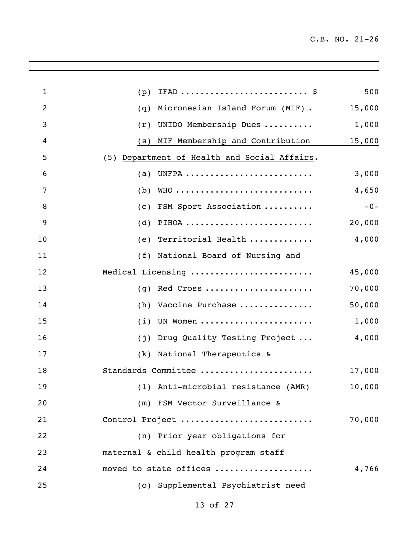| IFAD $\frac{1}{2}$<br>$\mathbf{1}$<br>(p)                | 500    |
|----------------------------------------------------------|--------|
| $\overline{2}$<br>Micronesian Island Forum (MIF).<br>(q) | 15,000 |
| 3<br>UNIDO Membership Dues<br>(r)                        | 1,000  |
| MIF Membership and Contribution<br>4<br>(S)              | 15,000 |
| (5) Department of Health and Social Affairs.<br>5        |        |
| (a) UNFPA<br>6                                           | 3,000  |
| 7<br>WHO<br>(b)                                          | 4,650  |
| 8<br>FSM Sport Association<br>(C)                        | $-0-$  |
| 9<br>PIHOA<br>(d)                                        | 20,000 |
| 10<br>(e) Territorial Health                             | 4,000  |
| 11<br>(f) National Board of Nursing and                  |        |
| Medical Licensing<br>12                                  | 45,000 |
| 13<br>Red Cross<br>(g)                                   | 70,000 |
| 14<br>Vaccine Purchase<br>(h)                            | 50,000 |
| 15<br>UN Women<br>(i)                                    | 1,000  |
| Drug Quality Testing Project<br>16<br>(j)                | 4,000  |
| National Therapeutics &<br>17<br>(k)                     |        |
| Standards Committee<br>18                                | 17,000 |
| 19<br>(1) Anti-microbial resistance (AMR)                | 10,000 |
| 20<br>(m) FSM Vector Surveillance &                      |        |
| Control Project<br>21                                    | 70,000 |
| 22<br>(n) Prior year obligations for                     |        |
| 23<br>maternal & child health program staff              |        |
| 24<br>moved to state offices                             | 4,766  |
| 25<br>(o) Supplemental Psychiatrist need                 |        |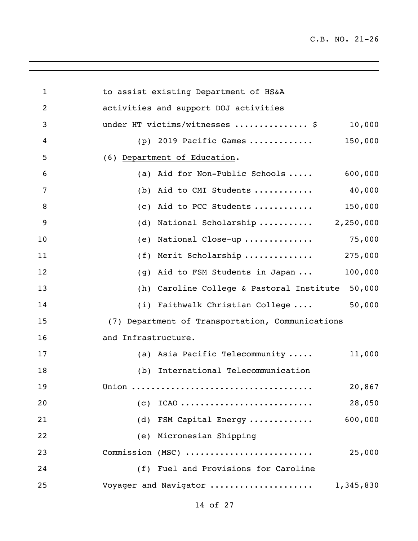$\overline{\phantom{0}}$ 

| 1              | to assist existing Department of HS&A               |
|----------------|-----------------------------------------------------|
| $\overline{2}$ | activities and support DOJ activities               |
| 3              | under HT victims/witnesses  \$<br>10,000            |
| 4              | $(p)$ 2019 Pacific Games<br>150,000                 |
| 5              | (6) Department of Education.                        |
| 6              | 600,000<br>(a) Aid for Non-Public Schools           |
| 7              | 40,000<br>(b) Aid to CMI Students                   |
| 8              | 150,000<br>(c) Aid to PCC Students                  |
| 9              | National Scholarship 2,250,000<br>(d)               |
| 10             | National Close-up<br>75,000<br>(e)                  |
| 11             | 275,000<br>Merit Scholarship<br>(f)                 |
| 12             | 100,000<br>Aid to FSM Students in Japan<br>(g)      |
| 13             | 50,000<br>(h) Caroline College & Pastoral Institute |
| 14             | 50,000<br>(i) Faithwalk Christian College           |
| 15             | (7) Department of Transportation, Communications    |
| 16             | and Infrastructure.                                 |
| 17             | (a) Asia Pacific Telecommunity<br>11,000            |
| 18             | International Telecommunication<br>(b)              |
| 19             | 20,867<br>Union                                     |
| 20             | 28,050<br>$(c)$ ICAO                                |
| 21             | 600,000<br>(d) FSM Capital Energy                   |
| 22             | (e) Micronesian Shipping                            |
| 23             | Commission (MSC)<br>25,000                          |
| 24             | (f) Fuel and Provisions for Caroline                |
| 25             | Voyager and Navigator<br>1,345,830                  |
|                |                                                     |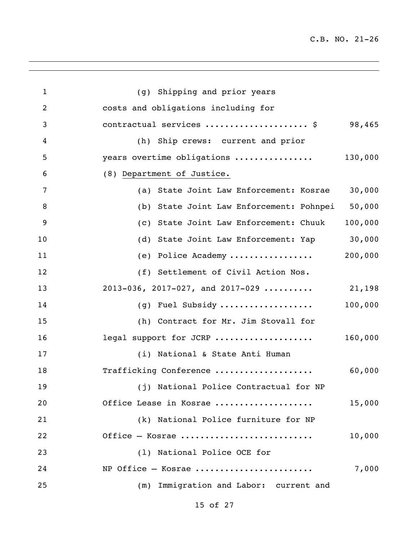| $\mathbf{1}$   | (g) Shipping and prior years             |         |
|----------------|------------------------------------------|---------|
| $\overline{2}$ | costs and obligations including for      |         |
| 3              | contractual services  \$                 | 98,465  |
| 4              | (h) Ship crews: current and prior        |         |
| 5              | years overtime obligations               | 130,000 |
| 6              | (8) Department of Justice.               |         |
| 7              | (a) State Joint Law Enforcement: Kosrae  | 30,000  |
| 8              | (b) State Joint Law Enforcement: Pohnpei | 50,000  |
| 9              | (c) State Joint Law Enforcement: Chuuk   | 100,000 |
| 10             | (d) State Joint Law Enforcement: Yap     | 30,000  |
| 11             | (e) Police Academy                       | 200,000 |
| 12             | (f) Settlement of Civil Action Nos.      |         |
| 13             | $2013-036$ , $2017-027$ , and $2017-029$ | 21,198  |
| 14             | (g) Fuel Subsidy                         | 100,000 |
| 15             | (h) Contract for Mr. Jim Stovall for     |         |
| 16             | legal support for JCRP                   | 160,000 |
| 17             | (i) National & State Anti Human          |         |
| 18             | Trafficking Conference                   | 60,000  |
| 19             | (j) National Police Contractual for NP   |         |
| 20             | Office Lease in Kosrae                   | 15,000  |
| 21             | (k) National Police furniture for NP     |         |
| 22             | Office - Kosrae                          | 10,000  |
| 23             | (1) National Police OCE for              |         |
| 24             | $NP$ Office - Kosrae                     | 7,000   |
| 25             | (m) Immigration and Labor: current and   |         |
|                |                                          |         |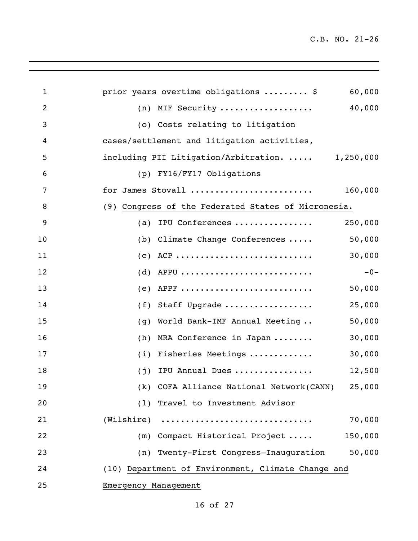| 1  | 60,000<br>prior years overtime obligations  \$      |
|----|-----------------------------------------------------|
| 2  | 40,000<br>$(n)$ MIF Security                        |
| 3  | (o) Costs relating to litigation                    |
| 4  | cases/settlement and litigation activities,         |
| 5  | including PII Litigation/Arbitration.  1,250,000    |
| 6  | (p) FY16/FY17 Obligations                           |
| 7  | for James Stovall<br>160,000                        |
| 8  | (9) Congress of the Federated States of Micronesia. |
| 9  | IPU Conferences<br>250,000<br>(a)                   |
| 10 | 50,000<br>(b) Climate Change Conferences            |
| 11 | $(C)$ ACP<br>30,000                                 |
| 12 | $(d)$ APPU<br>$-0-$                                 |
| 13 | $(e)$ APPF<br>50,000                                |
| 14 | (f) Staff Upgrade<br>25,000                         |
| 15 | 50,000<br>World Bank-IMF Annual Meeting<br>(g)      |
| 16 | 30,000<br>MRA Conference in Japan<br>(h)            |
| 17 | 30,000<br>(i) Fisheries Meetings                    |
| 18 | IPU Annual Dues<br>12,500<br>(j)                    |
| 19 | (k) COFA Alliance National Network(CANN)<br>25,000  |
| 20 | (1) Travel to Investment Advisor                    |
| 21 | 70,000                                              |
| 22 | (m) Compact Historical Project<br>150,000           |
| 23 | (n) Twenty-First Congress-Inauguration<br>50,000    |
| 24 | (10) Department of Environment, Climate Change and  |
| 25 | Emergency Management                                |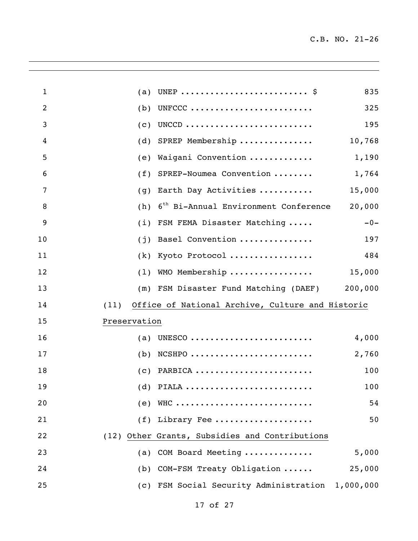| $\mathbf{1}$   | (a)          |                                                  | 835    |
|----------------|--------------|--------------------------------------------------|--------|
| $\overline{2}$ | (b)          | UNFCCC                                           | 325    |
| 3              | (c)          | UNCCD                                            | 195    |
| 4              | (d)          | SPREP Membership                                 | 10,768 |
| 5              | (e)          | Waigani Convention                               | 1,190  |
| 6              | (f)          | SPREP-Noumea Convention                          | 1,764  |
| 7              | (g)          | Earth Day Activities                             | 15,000 |
| 8              | (h)          | 6 <sup>th</sup> Bi-Annual Environment Conference | 20,000 |
| 9              | (i)          | FSM FEMA Disaster Matching                       | $-0-$  |
| 10             | (j)          | Basel Convention                                 | 197    |
| 11             | (k)          | Kyoto Protocol                                   | 484    |
| 12             | (1)          | WMO Membership                                   | 15,000 |
| 13             |              | (m) FSM Disaster Fund Matching (DAEF) 200,000    |        |
| 14             | (11)         | Office of National Archive, Culture and Historic |        |
| 15             | Preservation |                                                  |        |
| 16             | (a)          | UNESCO                                           | 4,000  |
| 17             | (b)          | $NCSHPO$                                         | 2,760  |
| 18             |              | $(c)$ PARBICA                                    | 100    |
| 19             |              |                                                  | 100    |
| 20             |              | $(e)$ WHC                                        | 54     |
| 21             |              | $(f)$ Library Fee                                | 50     |
| 22             |              | (12) Other Grants, Subsidies and Contributions   |        |
| 23             |              | (a) COM Board Meeting                            | 5,000  |
| 24             |              | (b) COM-FSM Treaty Obligation                    | 25,000 |
| 25             |              | (c) FSM Social Security Administration 1,000,000 |        |
|                |              |                                                  |        |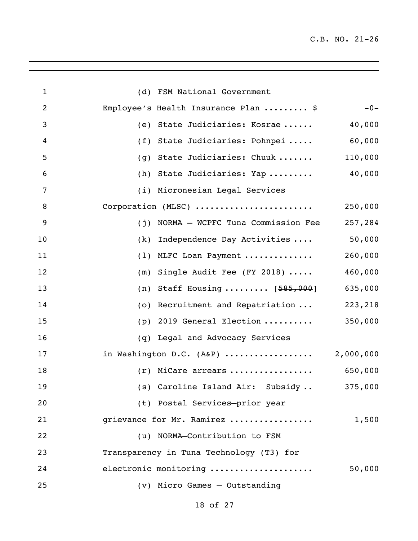| $\mathbf{1}$   | (d) FSM National Government                  |         |
|----------------|----------------------------------------------|---------|
| $\overline{2}$ | Employee's Health Insurance Plan  \$         | $-0-$   |
| 3              | (e) State Judiciaries: Kosrae                | 40,000  |
| 4              | (f) State Judiciaries: Pohnpei               | 60,000  |
| 5              | State Judiciaries: Chuuk<br>(g)              | 110,000 |
| 6              | (h) State Judiciaries: Yap                   | 40,000  |
| 7              | (i) Micronesian Legal Services               |         |
| 8              | Corporation (MLSC)                           | 250,000 |
| 9              | (j) NORMA - WCPFC Tuna Commission Fee        | 257,284 |
| 10             | Independence Day Activities<br>(k)           | 50,000  |
| 11             | (1) MLFC Loan Payment                        | 260,000 |
| 12             | Single Audit Fee (FY 2018) $\ldots$ .<br>(m) | 460,000 |
| 13             | (n) Staff Housing $[585,000]$                | 635,000 |
| 14             | (o) Recruitment and Repatriation             | 223,218 |
| 15             | 2019 General Election<br>(p)                 | 350,000 |
| 16             | Legal and Advocacy Services<br>(q)           |         |
| 17             | in Washington D.C. $(ABP)$ 2,000,000         |         |
| 18             | $(r)$ MiCare arrears                         | 650,000 |
| 19             | (s) Caroline Island Air: Subsidy  375,000    |         |
| 20             | (t) Postal Services-prior year               |         |
| 21             | grievance for Mr. Ramirez                    | 1,500   |
| 22             | (u) NORMA-Contribution to FSM                |         |
| 23             | Transparency in Tuna Technology (T3) for     |         |
| 24             | electronic monitoring                        | 50,000  |
| 25             | (v) Micro Games - Outstanding                |         |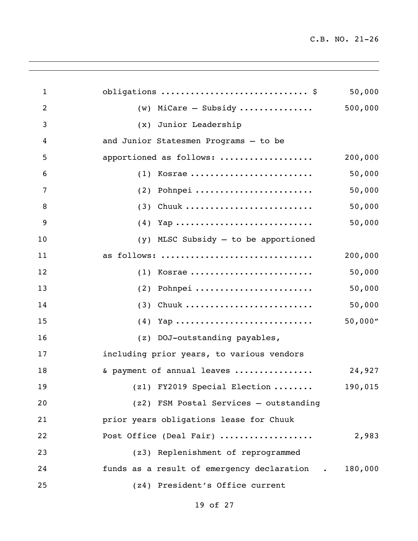| $\mathbf{1}$   | obligations  \$                              | 50,000  |
|----------------|----------------------------------------------|---------|
| $\overline{2}$ | $(w)$ MiCare - Subsidy                       | 500,000 |
| 3              | (x) Junior Leadership                        |         |
| 4              | and Junior Statesmen Programs - to be        |         |
| 5              | apportioned as follows:                      | 200,000 |
| 6              | $(1)$ Kosrae                                 | 50,000  |
| 7              | $(2)$ Pohnpei                                | 50,000  |
| $\, 8$         | $(3)$ Chuuk                                  | 50,000  |
| 9              |                                              | 50,000  |
| 10             | $(y)$ MLSC Subsidy $-$ to be apportioned     |         |
| 11             | as follows:                                  | 200,000 |
| 12             | $(1)$ Kosrae                                 | 50,000  |
| 13             | $(2)$ Pohnpei                                | 50,000  |
| 14             | $(3)$ Chuuk                                  | 50,000  |
| 15             |                                              | 50,000" |
| 16             | (z) DOJ-outstanding payables,                |         |
| 17             | including prior years, to various vendors    |         |
| 18             | & payment of annual leaves                   | 24,927  |
| 19             | (z1) FY2019 Special Election                 | 190,015 |
| 20             | (z2) FSM Postal Services - outstanding       |         |
| 21             | prior years obligations lease for Chuuk      |         |
| 22             | Post Office (Deal Fair)                      | 2,983   |
| 23             | (z3) Replenishment of reprogrammed           |         |
| 24             | funds as a result of emergency declaration . | 180,000 |
| 25             | (z4) President's Office current              |         |

<u> 1989 - Andrea Santa Andrea Andrea Andrea Andrea Andrea Andrea Andrea Andrea Andrea Andrea Andrea Andrea Andr</u>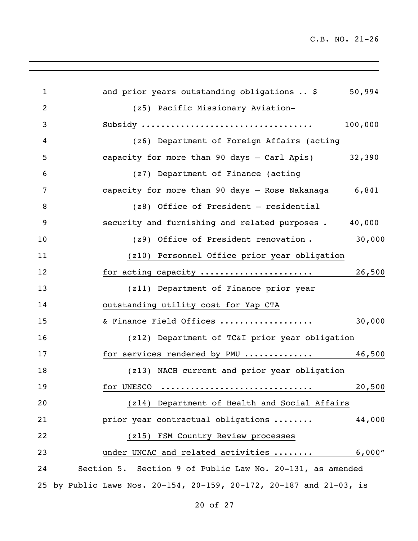| $\mathbf{1}$   | and prior years outstanding obligations  \$                      | 50,994  |
|----------------|------------------------------------------------------------------|---------|
| $\overline{2}$ | (z5) Pacific Missionary Aviation-                                |         |
| 3              |                                                                  | 100,000 |
| 4              | (z6) Department of Foreign Affairs (acting                       |         |
| 5              | capacity for more than 90 days - Carl Apis) 32,390               |         |
| 6              | (z7) Department of Finance (acting                               |         |
| 7              | capacity for more than 90 days - Rose Nakanaga 6,841             |         |
| 8              | (z8) Office of President - residential                           |         |
| 9              | security and furnishing and related purposes.                    | 40,000  |
| 10             | (z9) Office of President renovation.                             | 30,000  |
| 11             | (z10) Personnel Office prior year obligation                     |         |
| 12             | for acting capacity                                              | 26,500  |
| 13             | (z11) Department of Finance prior year                           |         |
| 14             | outstanding utility cost for Yap CTA                             |         |
| 15             | & Finance Field Offices                                          | 30,000  |
| 16             | (z12) Department of TC&I prior year obligation                   |         |
| 17             | for services rendered by PMU                                     | 46,500  |
| 18             | (z13) NACH current and prior year obligation                     |         |
| 19             | for UNESCO                                                       | 20,500  |
| 20             | (z14) Department of Health and Social Affairs                    |         |
| 21             | prior year contractual obligations                               | 44,000  |
| 22             | (z15) FSM Country Review processes                               |         |
| 23             | under UNCAC and related activities                               | 6,000"  |
| 24             | Section 5. Section 9 of Public Law No. 20-131, as amended        |         |
| 25             | by Public Laws Nos. 20-154, 20-159, 20-172, 20-187 and 21-03, is |         |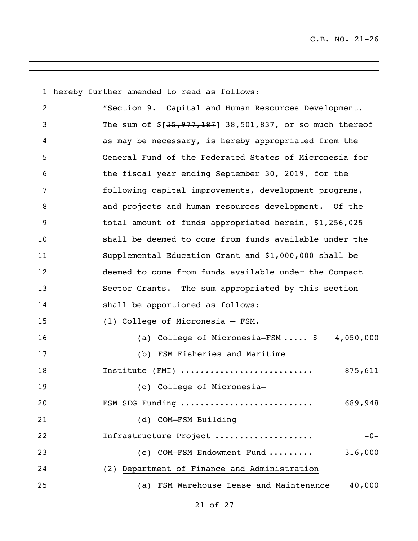hereby further amended to read as follows: "Section 9. Capital and Human Resources Development. 3 The sum of \$[35,977,187] 38,501,837, or so much thereof as may be necessary, is hereby appropriated from the General Fund of the Federated States of Micronesia for the fiscal year ending September 30, 2019, for the following capital improvements, development programs, and projects and human resources development. Of the total amount of funds appropriated herein, \$1,256,025 shall be deemed to come from funds available under the Supplemental Education Grant and \$1,000,000 shall be deemed to come from funds available under the Compact Sector Grants. The sum appropriated by this section shall be apportioned as follows: (1) College of Micronesia – FSM. 16 (a) College of Micronesia-FSM ..... \$ 4,050,000 (b) FSM Fisheries and Maritime Institute (FMI) ........................... 875,611 (c) College of Micronesia— FSM SEG Funding ........................... 689,948 (d) COM—FSM Building Infrastructure Project .................... -0- (e) COM—FSM Endowment Fund ......... 316,000 (2) Department of Finance and Administration (a) FSM Warehouse Lease and Maintenance 40,000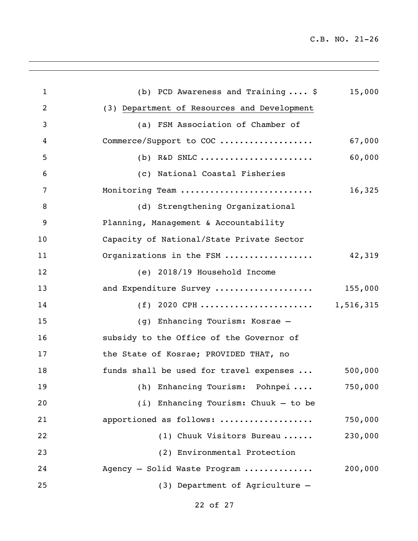| $\mathbf{1}$   | (b) PCD Awareness and Training $\ldots$ , \$ | 15,000    |
|----------------|----------------------------------------------|-----------|
| $\overline{2}$ | (3) Department of Resources and Development  |           |
| 3              | (a) FSM Association of Chamber of            |           |
| 4              | Commerce/Support to COC                      | 67,000    |
| 5              | (b) R&D SNLC                                 | 60,000    |
| 6              | (c) National Coastal Fisheries               |           |
| 7              | Monitoring Team                              | 16,325    |
| 8              | (d) Strengthening Organizational             |           |
| 9              | Planning, Management & Accountability        |           |
| 10             | Capacity of National/State Private Sector    |           |
| 11             | Organizations in the FSM                     | 42,319    |
| 12             | (e) 2018/19 Household Income                 |           |
| 13             | and Expenditure Survey                       | 155,000   |
| 14             | $(f)$ 2020 CPH                               | 1,516,315 |
| 15             | (g) Enhancing Tourism: Kosrae -              |           |
| 16             | subsidy to the Office of the Governor of     |           |
| 17             | the State of Kosrae; PROVIDED THAT, no       |           |
| 18             | funds shall be used for travel expenses      | 500,000   |
| 19             | (h) Enhancing Tourism: Pohnpei               | 750,000   |
| 20             | $(i)$ Enhancing Tourism: Chuuk - to be       |           |
| 21             | apportioned as follows:                      | 750,000   |
| 22             | (1) Chuuk Visitors Bureau                    | 230,000   |
| 23             | (2) Environmental Protection                 |           |
| 24             | Agency - Solid Waste Program                 | 200,000   |
| 25             | (3) Department of Agriculture -              |           |
|                |                                              |           |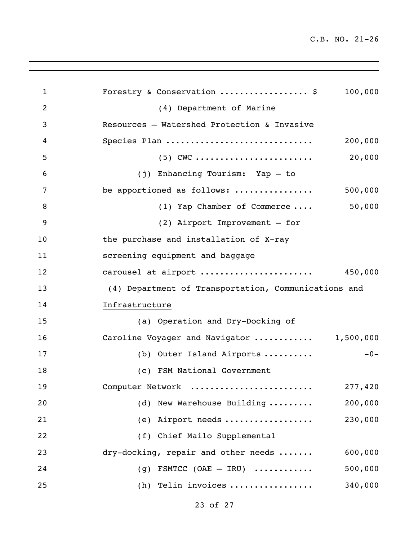| 1              | Forestry & Conservation  \$<br>100,000               |
|----------------|------------------------------------------------------|
| $\overline{2}$ | (4) Department of Marine                             |
| 3              | Resources - Watershed Protection & Invasive          |
| 4              | Species Plan<br>200,000                              |
| 5              | 20,000<br>$(5)$ CWC                                  |
| 6              | (j) Enhancing Tourism: Yap - to                      |
| 7              | be apportioned as follows:<br>500,000                |
| 8              | 50,000<br>(1) Yap Chamber of Commerce                |
| 9              | (2) Airport Improvement - for                        |
| 10             | the purchase and installation of X-ray               |
| 11             | screening equipment and baggage                      |
| 12             | carousel at airport<br>450,000                       |
| 13             | (4) Department of Transportation, Communications and |
| 14             | Infrastructure                                       |
| 15             | (a) Operation and Dry-Docking of                     |
| 16             | Caroline Voyager and Navigator  1,500,000            |
| 17             | $-0-$<br>(b) Outer Island Airports                   |
| 18             | (c) FSM National Government                          |
| 19             | 277,420<br>Computer Network                          |
| 20             | (d) New Warehouse Building<br>200,000                |
| 21             | 230,000<br>(e) Airport needs                         |
| 22             | (f) Chief Mailo Supplemental                         |
| 23             | 600,000<br>dry-docking, repair and other needs       |
| 24             | 500,000<br>(g) FSMTCC (OAE $-$ IRU)                  |
| 25             | (h) Telin invoices<br>340,000                        |
|                |                                                      |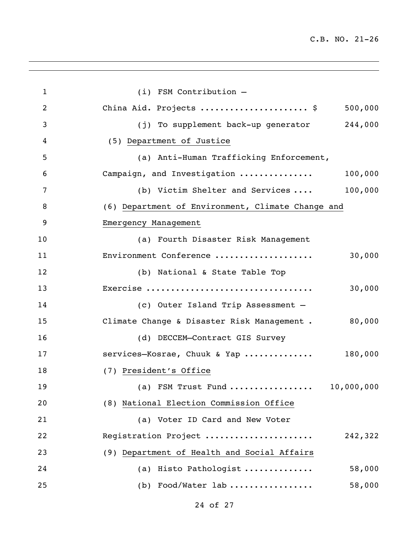÷

| $\mathbf{1}$   | $(i)$ FSM Contribution $-$                            |
|----------------|-------------------------------------------------------|
| $\overline{2}$ | China Aid. Projects  \$<br>500,000                    |
| 3              | (j) To supplement back-up generator 244,000           |
| 4              | (5) Department of Justice                             |
| 5              | (a) Anti-Human Trafficking Enforcement,               |
| 6              | Campaign, and Investigation<br>100,000                |
| 7              | 100,000<br>(b) Victim Shelter and Services            |
| 8              | (6) Department of Environment, Climate Change and     |
| 9              | Emergency Management                                  |
| 10             | (a) Fourth Disaster Risk Management                   |
| 11             | Environment Conference<br>30,000                      |
| 12             | (b) National & State Table Top                        |
| 13             | Exercise<br>30,000                                    |
| 14             | (c) Outer Island Trip Assessment -                    |
| 15             | 80,000<br>Climate Change & Disaster Risk Management . |
| 16             | (d) DECCEM-Contract GIS Survey                        |
| 17             | services-Kosrae, Chuuk & Yap<br>180,000               |
| 18             | (7) President's Office                                |
| 19             | 10,000,000<br>(a) FSM Trust Fund                      |
| 20             | (8) National Election Commission Office               |
| 21             | (a) Voter ID Card and New Voter                       |
| 22             | Registration Project<br>242,322                       |
| 23             | (9) Department of Health and Social Affairs           |
| 24             | (a) Histo Pathologist<br>58,000                       |
| 25             | (b) Food/Water lab<br>58,000                          |
|                |                                                       |

<u> 1989 - Andrea Santa Andrea Santa Andrea Santa Andrea Santa Andrea Santa Andrea Santa Andrea Santa Andrea San</u>

of 27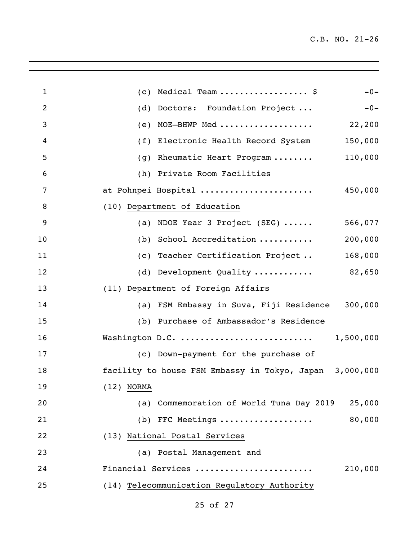| Medical Team  \$<br>$-0-$<br>(C)                        |
|---------------------------------------------------------|
| Doctors: Foundation Project<br>$-0-$<br>(d)             |
| MOE-BHWP Med<br>22,200<br>(e)                           |
| 150,000<br>(f)<br>Electronic Health Record System       |
| 110,000<br>Rheumatic Heart Program<br>(g)               |
| (h) Private Room Facilities                             |
| at Pohnpei Hospital<br>450,000                          |
| (10) Department of Education                            |
| 566,077<br>(a) NDOE Year 3 Project (SEG) $\cdots$       |
| 200,000<br>School Accreditation<br>(b)                  |
| 168,000<br>(c) Teacher Certification Project            |
| 82,650<br>(d) Development Quality                       |
| (11) Department of Foreign Affairs                      |
| 300,000<br>(a) FSM Embassy in Suva, Fiji Residence      |
| (b) Purchase of Ambassador's Residence                  |
| Washington D.C.<br>1,500,000                            |
| (c) Down-payment for the purchase of                    |
| facility to house FSM Embassy in Tokyo, Japan 3,000,000 |
| $(12)$ NORMA                                            |
| (a) Commemoration of World Tuna Day 2019<br>25,000      |
| 80,000<br>(b) FFC Meetings                              |
| (13) National Postal Services                           |
| (a) Postal Management and                               |
| 210,000<br>Financial Services                           |
| (14) Telecommunication Regulatory Authority             |
|                                                         |

<u> 1989 - Andrea Santa Andrea Santa Andrea Santa Andrea Santa Andrea Santa Andrea Santa Andrea Santa Andrea San</u>

## of 27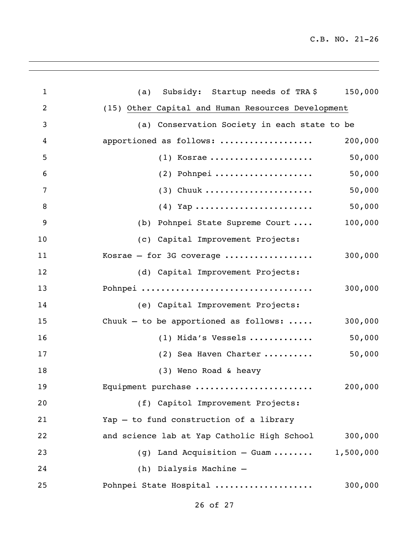| $\mathbf{1}$   | (a) Subsidy: Startup needs of TRA\$ 150,000        |           |
|----------------|----------------------------------------------------|-----------|
| $\overline{2}$ | (15) Other Capital and Human Resources Development |           |
| $\mathfrak{Z}$ | (a) Conservation Society in each state to be       |           |
| 4              | apportioned as follows:                            | 200,000   |
| 5              | $(1)$ Kosrae                                       | 50,000    |
| 6              | $(2)$ Pohnpei                                      | 50,000    |
| 7              | $(3)$ Chuuk                                        | 50,000    |
| 8              |                                                    | 50,000    |
| 9              | (b) Pohnpei State Supreme Court                    | 100,000   |
| 10             | (c) Capital Improvement Projects:                  |           |
| 11             | Kosrae - for 3G coverage                           | 300,000   |
| 12             | (d) Capital Improvement Projects:                  |           |
| 13             | Pohnpei                                            | 300,000   |
| 14             | (e) Capital Improvement Projects:                  |           |
| 15             | Chuuk - to be apportioned as follows: $\dots$ .    | 300,000   |
| 16             | $(1)$ Mida's Vessels                               | 50,000    |
| 17             | (2) Sea Haven Charter                              | 50,000    |
| 18             | (3) Weno Road & heavy                              |           |
| 19             | Equipment purchase                                 | 200,000   |
| 20             | (f) Capitol Improvement Projects:                  |           |
| 21             | Yap - to fund construction of a library            |           |
| 22             | and science lab at Yap Catholic High School        | 300,000   |
| 23             | (g) Land Acquisition $-$ Guam                      | 1,500,000 |
| 24             | (h) Dialysis Machine -                             |           |
| 25             | Pohnpei State Hospital                             | 300,000   |
|                |                                                    |           |

<u> 1989 - Andrea Santa Alemania, amerikana amerikana amerikana amerikana amerikana amerikana amerikana amerikan</u>